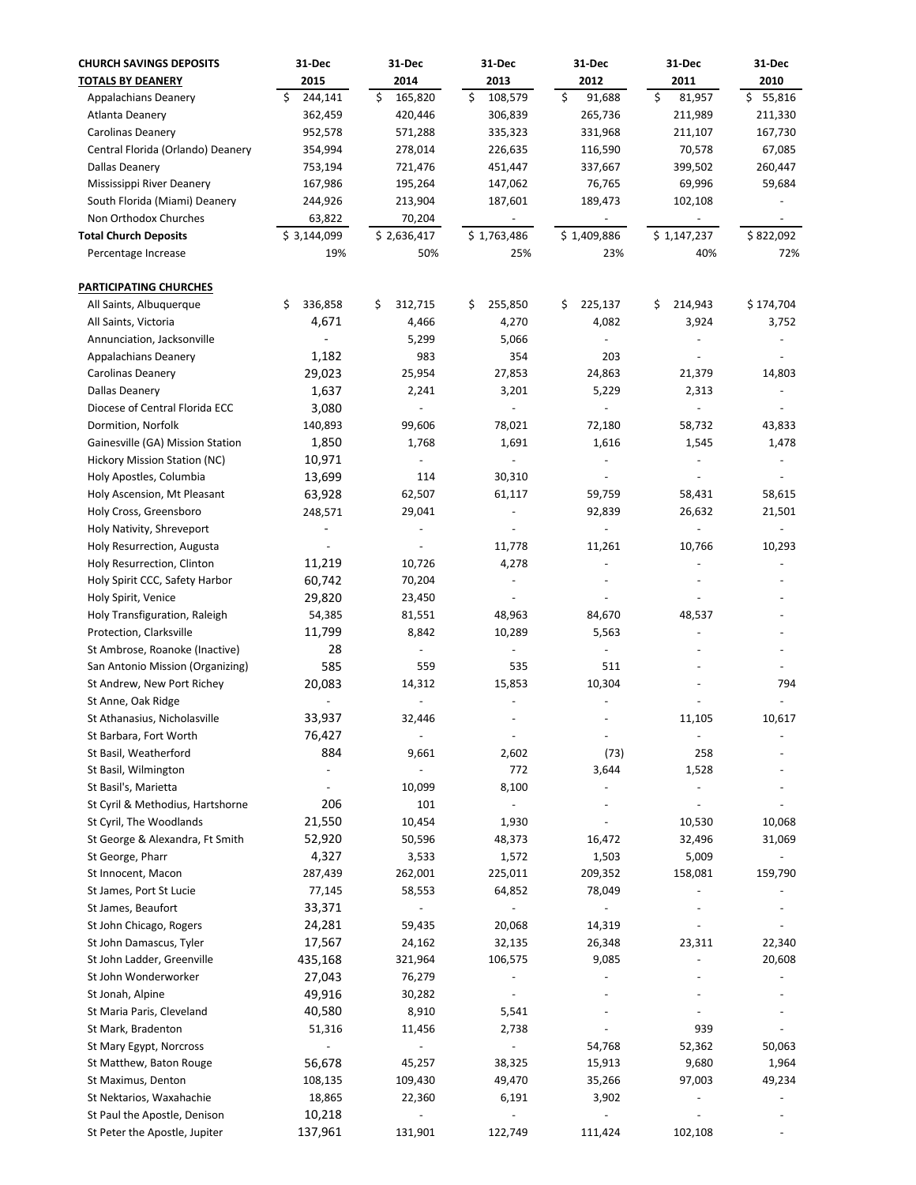| <b>CHURCH SAVINGS DEPOSITS</b>    | 31-Dec        | 31 Dec                   | 31 Dec                   | 31-Dec                       | 31-Dec                       | 31 Dec       |
|-----------------------------------|---------------|--------------------------|--------------------------|------------------------------|------------------------------|--------------|
| <b>TOTALS BY DEANERY</b>          | 2015          | 2014                     | 2013                     | 2012                         | 2011                         | 2010         |
| <b>Appalachians Deanery</b>       | 244,141<br>Ś  | \$<br>165,820            | \$<br>108,579            | \$<br>91,688                 | \$<br>81,957                 | \$<br>55,816 |
| Atlanta Deanery                   | 362,459       | 420,446                  | 306,839                  | 265,736                      | 211,989                      | 211,330      |
| Carolinas Deanery                 | 952,578       | 571,288                  | 335,323                  | 331,968                      | 211,107                      | 167,730      |
| Central Florida (Orlando) Deanery | 354,994       | 278,014                  | 226,635                  | 116,590                      | 70,578                       | 67,085       |
| Dallas Deanery                    | 753,194       | 721,476                  | 451,447                  | 337,667                      | 399,502                      | 260,447      |
| Mississippi River Deanery         | 167,986       | 195,264                  | 147,062                  | 76,765                       | 69,996                       | 59,684       |
|                                   |               |                          |                          |                              |                              |              |
| South Florida (Miami) Deanery     | 244,926       | 213,904                  | 187,601                  | 189,473                      | 102,108                      |              |
| Non Orthodox Churches             | 63,822        | 70,204                   |                          |                              |                              |              |
| <b>Total Church Deposits</b>      | \$3,144,099   | \$2,636,417              | \$1,763,486              | \$1,409,886                  | \$1,147,237                  | \$822,092    |
| Percentage Increase               | 19%           | 50%                      | 25%                      | 23%                          | 40%                          | 72%          |
| PARTICIPATING CHURCHES            |               |                          |                          |                              |                              |              |
| All Saints, Albuquerque           | \$<br>336,858 | \$<br>312,715            | 255,850<br>\$            | 225,137<br>\$                | 214,943<br>\$                | \$174,704    |
| All Saints, Victoria              | 4,671         | 4,466                    | 4,270                    | 4,082                        | 3,924                        | 3,752        |
| Annunciation, Jacksonville        |               | 5,299                    | 5,066                    | $\overline{\phantom{a}}$     |                              |              |
| <b>Appalachians Deanery</b>       | 1,182         | 983                      | 354                      | 203                          |                              |              |
| Carolinas Deanery                 | 29,023        | 25,954                   | 27,853                   | 24,863                       | 21,379                       | 14,803       |
| Dallas Deanery                    | 1,637         | 2,241                    | 3,201                    | 5,229                        | 2,313                        |              |
| Diocese of Central Florida ECC    | 3,080         |                          |                          |                              |                              |              |
| Dormition, Norfolk                | 140,893       | 99,606                   | 78,021                   | 72,180                       | 58,732                       | 43,833       |
| Gainesville (GA) Mission Station  | 1,850         | 1,768                    | 1,691                    | 1,616                        | 1,545                        | 1,478        |
|                                   |               |                          |                          |                              |                              |              |
| Hickory Mission Station (NC)      | 10,971        |                          |                          |                              |                              |              |
| Holy Apostles, Columbia           | 13,699        | 114                      | 30,310                   |                              |                              |              |
| Holy Ascension, Mt Pleasant       | 63,928        | 62,507                   | 61,117                   | 59,759                       | 58,431                       | 58,615       |
| Holy Cross, Greensboro            | 248,571       | 29,041                   |                          | 92,839                       | 26,632                       | 21,501       |
| Holy Nativity, Shreveport         |               |                          |                          |                              | $\blacksquare$               |              |
| Holy Resurrection, Augusta        |               |                          | 11,778                   | 11,261                       | 10,766                       | 10,293       |
| Holy Resurrection, Clinton        | 11,219        | 10,726                   | 4,278                    |                              |                              |              |
| Holy Spirit CCC, Safety Harbor    | 60,742        | 70,204                   |                          |                              |                              |              |
| Holy Spirit, Venice               | 29,820        | 23,450                   |                          |                              |                              |              |
| Holy Transfiguration, Raleigh     | 54,385        | 81,551                   | 48,963                   | 84,670                       | 48,537                       |              |
| Protection, Clarksville           | 11,799        | 8,842                    | 10,289                   | 5,563                        |                              |              |
| St Ambrose, Roanoke (Inactive)    | 28            | ÷,                       |                          |                              |                              |              |
| San Antonio Mission (Organizing)  | 585           | 559                      | 535                      | 511                          |                              |              |
| St Andrew, New Port Richey        | 20,083        | 14,312                   | 15,853                   | 10,304                       |                              | 794          |
| St Anne, Oak Ridge                |               |                          |                          |                              |                              |              |
| St Athanasius, Nicholasville      | 33,937        | 32,446                   |                          |                              | 11,105                       | 10,617       |
| St Barbara, Fort Worth            | 76,427        | $\overline{\phantom{a}}$ | $\overline{\phantom{a}}$ | $\qquad \qquad \blacksquare$ | $\overline{\phantom{a}}$     |              |
| St Basil, Weatherford             | 884           | 9,661                    | 2,602                    | (73)                         | 258                          |              |
| St Basil, Wilmington              |               | $\blacksquare$           | 772                      | 3,644                        | 1,528                        |              |
|                                   |               |                          |                          | $\overline{\phantom{a}}$     | $\qquad \qquad \blacksquare$ |              |
| St Basil's, Marietta              |               | 10,099                   | 8,100                    |                              |                              |              |
| St Cyril & Methodius, Hartshorne  | 206           | 101                      | $\overline{\phantom{a}}$ |                              |                              |              |
| St Cyril, The Woodlands           | 21,550        | 10,454                   | 1,930                    |                              | 10,530                       | 10,068       |
| St George & Alexandra, Ft Smith   | 52,920        | 50,596                   | 48,373                   | 16,472                       | 32,496                       | 31,069       |
| St George, Pharr                  | 4,327         | 3,533                    | 1,572                    | 1,503                        | 5,009                        |              |
| St Innocent, Macon                | 287,439       | 262,001                  | 225,011                  | 209,352                      | 158,081                      | 159,790      |
| St James, Port St Lucie           | 77,145        | 58,553                   | 64,852                   | 78,049                       |                              |              |
| St James, Beaufort                | 33,371        |                          |                          | $\qquad \qquad \blacksquare$ |                              |              |
| St John Chicago, Rogers           | 24,281        | 59,435                   | 20,068                   | 14,319                       |                              |              |
| St John Damascus, Tyler           | 17,567        | 24,162                   | 32,135                   | 26,348                       | 23,311                       | 22,340       |
| St John Ladder, Greenville        | 435,168       | 321,964                  | 106,575                  | 9,085                        |                              | 20,608       |
| St John Wonderworker              | 27,043        | 76,279                   |                          |                              |                              |              |
| St Jonah, Alpine                  | 49,916        | 30,282                   | $\overline{\phantom{a}}$ |                              |                              |              |
| St Maria Paris, Cleveland         | 40,580        | 8,910                    | 5,541                    |                              |                              |              |
| St Mark, Bradenton                | 51,316        | 11,456                   | 2,738                    |                              | 939                          |              |
| St Mary Egypt, Norcross           |               |                          |                          | 54,768                       | 52,362                       | 50,063       |
| St Matthew, Baton Rouge           | 56,678        | 45,257                   | 38,325                   | 15,913                       | 9,680                        | 1,964        |
| St Maximus, Denton                | 108,135       | 109,430                  | 49,470                   | 35,266                       | 97,003                       | 49,234       |
|                                   |               |                          |                          |                              |                              |              |
| St Nektarios, Waxahachie          | 18,865        | 22,360                   | 6,191                    | 3,902                        |                              |              |
| St Paul the Apostle, Denison      | 10,218        |                          | $\overline{\phantom{a}}$ | $\qquad \qquad \blacksquare$ |                              |              |
| St Peter the Apostle, Jupiter     | 137,961       | 131,901                  | 122,749                  | 111,424                      | 102,108                      |              |